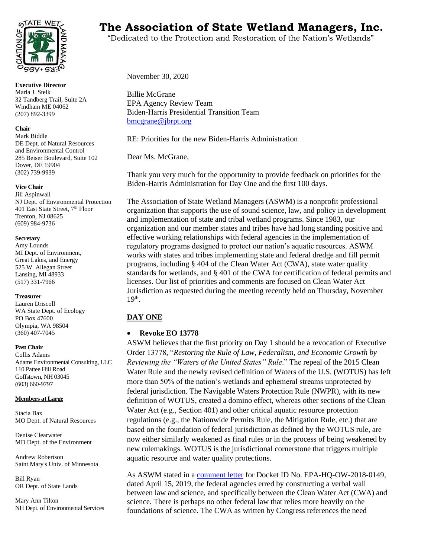

**Executive Director** Marla J. Stelk 32 Tandberg Trail, Suite 2A Windham ME 04062 (207) 892-3399

## **Chair**

Mark Biddle DE Dept. of Natural Resources and Environmental Control 285 Beiser Boulevard, Suite 102 Dover, DE 19904 (302) 739-9939

### **Vice Chair**

Jill Aspinwall NJ Dept. of Environmental Protection 401 East State Street, 7<sup>th</sup> Floor Trenton, NJ 08625 (609) 984-9736

## **Secretary**

Amy Lounds MI Dept. of Environment, Great Lakes, and Energy 525 W. Allegan Street Lansing, MI 48933 (517) 331-7966

## **Treasurer**

Lauren Driscoll WA State Dept. of Ecology PO Box 47600 Olympia, WA 98504 (360) 407-7045

## **Past Chair**

Collis Adams Adams Environmental Consulting, LLC 110 Pattee Hill Road Goffstown, NH 03045 (603) 660-9797

### **Members at Large**

Stacia Bax MO Dept. of Natural Resources

Denise Clearwater MD Dept. of the Environment

Andrew Robertson Saint Mary's Univ. of Minnesota

Bill Ryan OR Dept. of State Lands

Mary Ann Tilton NH Dept. of Environmental Services

# **THE WET SALL THE Association of State Wetland Managers, Inc.**

"Dedicated to the Protection and Restoration of the Nation's Wetlands"

November 30, 2020

Billie McGrane EPA Agency Review Team Biden-Harris Presidential Transition Team [bmcgrane@jbrpt.org](mailto:bmcgrane@jbrpt.org)

RE: Priorities for the new Biden-Harris Administration

Dear Ms. McGrane,

Thank you very much for the opportunity to provide feedback on priorities for the Biden-Harris Administration for Day One and the first 100 days.

The Association of State Wetland Managers (ASWM) is a nonprofit professional organization that supports the use of sound science, law, and policy in development and implementation of state and tribal wetland programs. Since 1983, our organization and our member states and tribes have had long standing positive and effective working relationships with federal agencies in the implementation of regulatory programs designed to protect our nation's aquatic resources. ASWM works with states and tribes implementing state and federal dredge and fill permit programs, including § 404 of the Clean Water Act (CWA), state water quality standards for wetlands, and § 401 of the CWA for certification of federal permits and licenses. Our list of priorities and comments are focused on Clean Water Act Jurisdiction as requested during the meeting recently held on Thursday, November  $19<sup>th</sup>$ .

# **DAY ONE**

## • **Revoke EO 13778**

ASWM believes that the first priority on Day 1 should be a revocation of Executive Order 13778, "*Restoring the Rule of Law, Federalism, and Economic Growth by Reviewing the "Waters of the United States" Rule*." The repeal of the 2015 Clean Water Rule and the newly revised definition of Waters of the U.S. (WOTUS) has left more than 50% of the nation's wetlands and ephemeral streams unprotected by federal jurisdiction. The Navigable Waters Protection Rule (NWPR), with its new definition of WOTUS, created a domino effect, whereas other sections of the Clean Water Act (e.g., Section 401) and other critical aquatic resource protection regulations (e.g., the Nationwide Permits Rule, the Mitigation Rule, etc.) that are based on the foundation of federal jurisdiction as defined by the WOTUS rule, are now either similarly weakened as final rules or in the process of being weakened by new rulemakings. WOTUS is the jurisdictional cornerstone that triggers multiple aquatic resource and water quality protections.

As ASWM stated in [a comment letter](https://www.aswm.org/pdf_lib/definition_of_wotus_2019_letter.pdf) for Docket ID No. EPA-HQ-OW-2018-0149, dated April 15, 2019, the federal agencies erred by constructing a verbal wall between law and science, and specifically between the Clean Water Act (CWA) and science. There is perhaps no other federal law that relies more heavily on the foundations of science. The CWA as written by Congress references the need